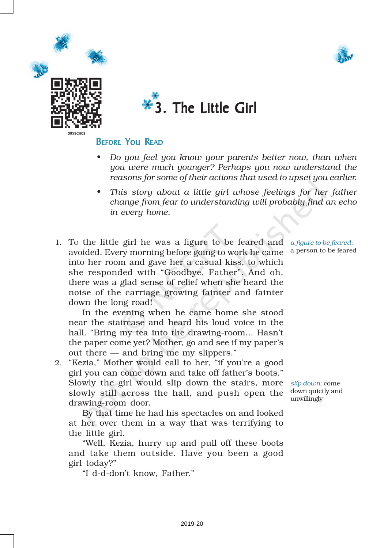





#### BEFORE YOU READ

- *• Do you feel you know your parents better now, than when you were much younger? Perhaps you now understand the reasons for some of their actions that used to upset you earlier.*
- *• This story about a little girl whose feelings for her father change from fear to understanding will probably find an echo in every home.*
- 1. TO the little girl he was a figure to be feared and *a figure to be feared*: avoided. Every morning before going to work he came a person to be feared into her room and gave her a casual kiss, to which she responded with "Goodbye, Father". And oh, there was a glad sense of relief when she heard the noise of the carriage growing fainter and fainter down the long road!

In the evening when he came home she stood near the staircase and heard his loud voice in the hall. "Bring my tea into the drawing-room... Hasn't the paper come yet? Mother, go and see if my paper's out there — and bring me my slippers."

2. "Kezia," Mother would call to her, "if you're a good girl you can come down and take off father's boots." Slowly the girl would slip down the stairs, more slowly still across the hall, and push open the drawing-room door.

By that time he had his spectacles on and looked at her over them in a way that was terrifying to the little girl.

"Well, Kezia, hurry up and pull off these boots and take them outside. Have you been a good girl today?"

"I d-d-don't know, Father."

*slip down*: come down quietly and unwillingly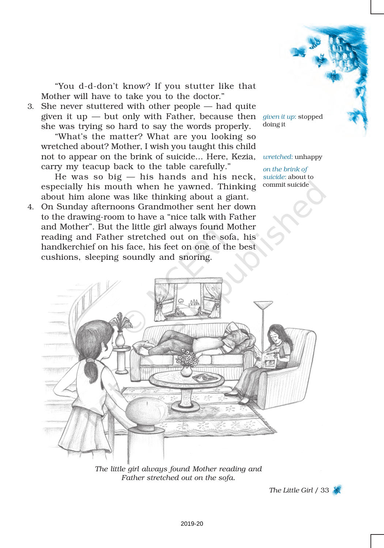

"You d-d-don't know? If you stutter like that Mother will have to take you to the doctor."

3. She never stuttered with other people — had quite given it up — but only with Father, because then *given it up*: stopped she was trying so hard to say the words properly.

"What's the matter? What are you looking so wretched about? Mother, I wish you taught this child not to appear on the brink of suicide... Here, Kezia, carry my teacup back to the table carefully."

He was so big  $-$  his hands and his neck, especially his mouth when he yawned. Thinking about him alone was like thinking about a giant.

4. On Sunday afternoons Grandmother sent her down to the drawing-room to have a "nice talk with Father and Mother". But the little girl always found Mother reading and Father stretched out on the sofa, his handkerchief on his face, his feet on one of the best cushions, sleeping soundly and snoring.

doing it

#### *wretched*: unhappy

*on the brink of suicide*: about to commit suicide



*The little girl always found Mother reading and Father stretched out on the sofa.*

*The Little Girl* / 33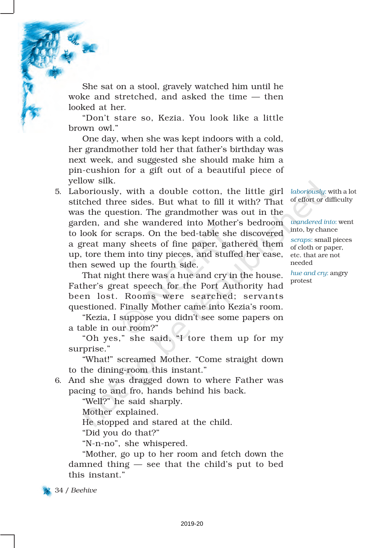She sat on a stool, gravely watched him until he woke and stretched, and asked the time — then looked at her.

"Don't stare so, Kezia. You look like a little brown owl."

One day, when she was kept indoors with a cold, her grandmother told her that father's birthday was next week, and suggested she should make him a pin-cushion for a gift out of a beautiful piece of yellow silk.

5. Laboriously, with a double cotton, the little girl stitched three sides. But what to fill it with? That was the question. The grandmother was out in the garden, and she wandered into Mother's bedroom to look for scraps. On the bed-table she discovered a great many sheets of fine paper, gathered them up, tore them into tiny pieces, and stuffed her case, then sewed up the fourth side.

That night there was a hue and cry in the house. Father's great speech for the Port Authority had been lost. Rooms were searched; servants questioned. Finally Mother came into Kezia's room.

"Kezia, I suppose you didn't see some papers on a table in our room?"

"Oh yes," she said, "I tore them up for my surprise."

"What!" screamed Mother. "Come straight down to the dining-room this instant."

6. And she was dragged down to where Father was pacing to and fro, hands behind his back.

"Well?" he said sharply.

Mother explained.

He stopped and stared at the child.

"Did you do that?"

"N-n-no", she whispered.

"Mother, go up to her room and fetch down the damned thing — see that the child's put to bed this instant."



*laboriously*: with a lot of effort or difficulty

*wandered into*: went into, by chance

*scraps*: small pieces of cloth or paper, etc. that are not needed

*hue and cry*: angry protest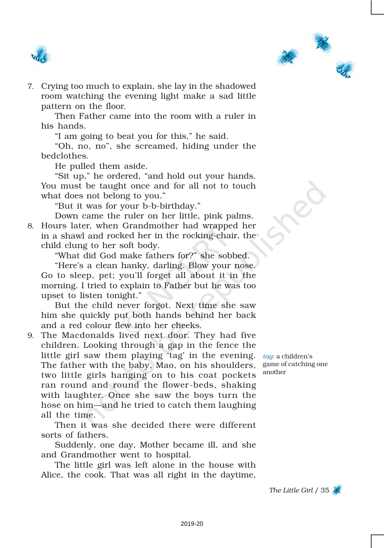



7. Crying too much to explain, she lay in the shadowed room watching the evening light make a sad little pattern on the floor.

Then Father came into the room with a ruler in his hands.

"I am going to beat you for this," he said.

"Oh, no, no", she screamed, hiding under the bedclothes.

He pulled them aside.

"Sit up," he ordered, "and hold out your hands. You must be taught once and for all not to touch what does not belong to you."

"But it was for your b-b-birthday."

Down came the ruler on her little, pink palms. 8. Hours later, when Grandmother had wrapped her in a shawl and rocked her in the rocking-chair, the child clung to her soft body.

"What did God make fathers for?" she sobbed. "Here's a clean hanky, darling. Blow your nose. Go to sleep, pet; you'll forget all about it in the morning. I tried to explain to Father but he was too upset to listen tonight."

But the child never forgot. Next time she saw him she quickly put both hands behind her back and a red colour flew into her cheeks.

9. The Macdonalds lived next door. They had five children. Looking through a gap in the fence the little girl saw them playing 'tag' in the evening. *tag*: a children's The father with the baby, Mao, on his shoulders, game of catching one two little girls hanging on to his coat pockets ran round and round the flower-beds, shaking with laughter. Once she saw the boys turn the hose on him—and he tried to catch them laughing all the time.

Then it was she decided there were different sorts of fathers.

Suddenly, one day, Mother became ill, and she and Grandmother went to hospital.

The little girl was left alone in the house with Alice, the cook. That was all right in the daytime,

another

*The Little Girl* / 35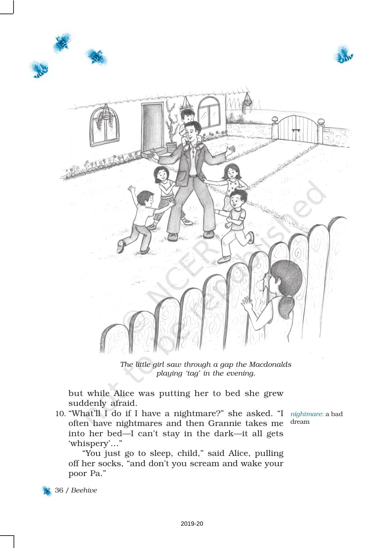





*The little girl saw through a gap the Macdonalds playing 'tag' in the evening.*

but while Alice was putting her to bed she grew suddenly afraid.

10. "What'll I do if I have a nightmare?" she asked. "I often have nightmares and then Grannie takes me into her bed—I can't stay in the dark—it all gets 'whispery'…"

*nightmare*: a bad dream

"You just go to sleep, child," said Alice, pulling off her socks, "and don't you scream and wake your poor Pa."

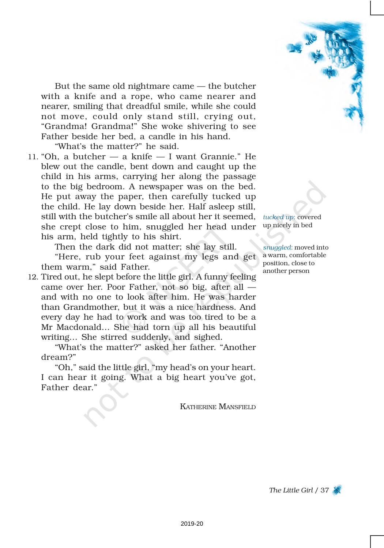

But the same old nightmare came — the butcher with a knife and a rope, who came nearer and nearer, smiling that dreadful smile, while she could not move, could only stand still, crying out, "Grandma! Grandma!" She woke shivering to see Father beside her bed, a candle in his hand.

"What's the matter?" he said.

11. "Oh, a butcher  $-$  a knife  $-$  I want Grannie." He blew out the candle, bent down and caught up the child in his arms, carrying her along the passage to the big bedroom. A newspaper was on the bed. He put away the paper, then carefully tucked up the child. He lay down beside her. Half asleep still, still with the butcher's smile all about her it seemed, *tucked up*: covered she crept close to him, snuggled her head under up nicely in bed his arm, held tightly to his shirt.

Then the dark did not matter; she lay still.

"Here, rub your feet against my legs and get them warm," said Father.

12. Tired out, he slept before the little girl. A funny feeling came over her. Poor Father, not so big, after all and with no one to look after him. He was harder than Grandmother, but it was a nice hardness. And every day he had to work and was too tired to be a Mr Macdonald… She had torn up all his beautiful writing… She stirred suddenly, and sighed.

"What's the matter?" asked her father. "Another dream?"

"Oh," said the little girl, "my head's on your heart. I can hear it going. What a big heart you've got, Father dear."

KATHERINE MANSFIELD

*snuggled*: moved into a warm, comfortable position, close to another person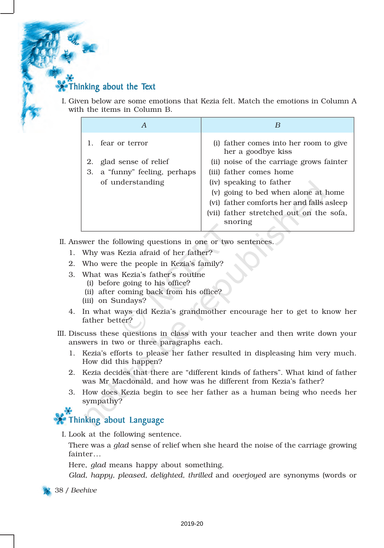### Thinking about the Text

I. Given below are some emotions that Kezia felt. Match the emotions in Column A with the items in Column B.

|    | A                          | B                                                            |
|----|----------------------------|--------------------------------------------------------------|
|    | 1. fear or terror          | (i) father comes into her room to give<br>her a goodbye kiss |
|    | 2. glad sense of relief    | (ii) noise of the carriage grows fainter                     |
| З. | a "funny" feeling, perhaps | (iii) father comes home                                      |
|    | of understanding           | (iv) speaking to father                                      |
|    |                            | (v) going to bed when alone at home                          |
|    |                            | (vi) father comforts her and falls as leep                   |
|    |                            | (vii) father stretched out on the sofa,                      |
|    |                            | snoring                                                      |

II. Answer the following questions in one or two sentences.

- 1. Why was Kezia afraid of her father?
- 2. Who were the people in Kezia's family?
- 3. What was Kezia's father's routine
	- (i) before going to his office?
	- (ii) after coming back from his office?
	- (iii) on Sundays?
- 4. In what ways did Kezia's grandmother encourage her to get to know her father better?
- III. Discuss these questions in class with your teacher and then write down your answers in two or three paragraphs each.
	- 1. Kezia's efforts to please her father resulted in displeasing him very much. How did this happen?
	- 2. Kezia decides that there are "different kinds of fathers". What kind of father was Mr Macdonald, and how was he different from Kezia's father?
	- 3. How does Kezia begin to see her father as a human being who needs her sympathy?

## **Thinking about Language**

I. Look at the following sentence.

There was a *glad* sense of relief when she heard the noise of the carriage growing fainter...

Here, *glad* means happy about something.

*Glad, happy, pleased, delighted, thrilled* and *overjoyed* are synonyms (words or

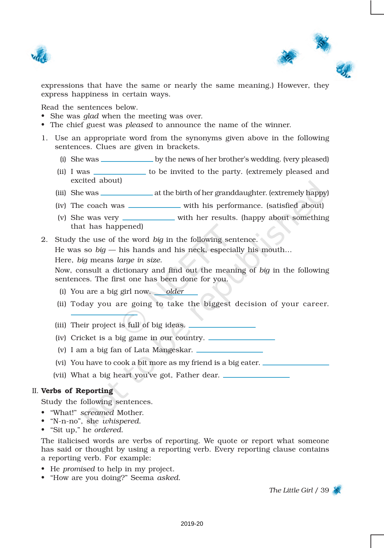



expressions that have the same or nearly the same meaning.) However, they express happiness in certain ways.

Read the sentences below.

- She was *glad* when the meeting was over.
- The chief guest was *pleased* to announce the name of the winner.
- 1. Use an appropriate word from the synonyms given above in the following sentences. Clues are given in brackets.
	- (i) She was <u>by the news of her brother's wedding</u>. (very pleased)
	- (ii) I was \_\_\_\_\_\_\_\_\_\_\_\_ to be invited to the party. (extremely pleased and excited about)
	- (iii) She was at the birth of her granddaughter. (extremely happy)
	- (iv) The coach was with his performance. (satisfied about)
	- (v) She was very \_\_\_\_\_\_\_\_\_\_ with her results. (happy about something that has happened)
- 2. Study the use of the word *big* in the following sentence.

He was so *big* — his hands and his neck, especially his mouth…

Here, *big* means *large in size*.

Now, consult a dictionary and find out the meaning of *big* in the following sentences. The first one has been done for you.

- (i) You are a big girl now. *older*
- (ii) Today you are going to take the biggest decision of your career.
- (iii) Their project is full of big ideas.
- (iv) Cricket is a big game in our country.
- (v) I am a big fan of Lata Mangeskar.
- (vi) You have to cook a bit more as my friend is a big eater.

(vii) What a big heart you've got, Father dear.

#### II. Verbs of Reporting

Study the following sentences.

- "What!" *screamed* Mother.
- "N-n-no", she *whispered*.
- "Sit up," he *ordered*.

The italicised words are verbs of reporting. We quote or report what someone has said or thought by using a reporting verb. Every reporting clause contains a reporting verb. For example:

- He *promised* to help in my project.
- "How are you doing?" Seema *asked*.

*The Little Girl* / 39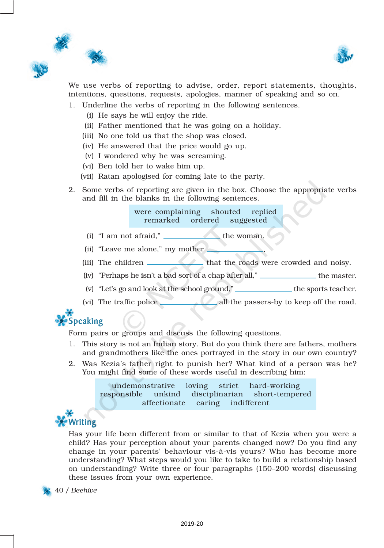



We use verbs of reporting to advise, order, report statements, thoughts, intentions, questions, requests, apologies, manner of speaking and so on.

- 1. Underline the verbs of reporting in the following sentences.
	- (i) He says he will enjoy the ride.
	- (ii) Father mentioned that he was going on a holiday.
	- (iii) No one told us that the shop was closed.
	- (iv) He answered that the price would go up.
	- (v) I wondered why he was screaming.
	- (vi) Ben told her to wake him up.
	- (vii) Ratan apologised for coming late to the party.
- 2. Some verbs of reporting are given in the box. Choose the appropriate verbs and fill in the blanks in the following sentences.

were complaining shouted replied remarked ordered suggested

- $(i)$  "I am not afraid,"  $\qquad \qquad$  the woman.
- (ii) "Leave me alone," my mother  $\Box$
- (iii) The children that the roads were crowded and noisy.
- (iv) "Perhaps he isn't a bad sort of a chap after all," \_\_\_\_\_\_\_\_\_\_\_\_\_\_ the master.
- (v) "Let's go and look at the school ground,"  $\Box$  the sports teacher.
- (vi) The traffic police all the passers-by to keep off the road.



Form pairs or groups and discuss the following questions.

- 1. This story is not an Indian story. But do you think there are fathers, mothers and grandmothers like the ones portrayed in the story in our own country?
- 2. Was Kezia's father right to punish her? What kind of a person was he? You might find some of these words useful in describing him:

undemonstrative loving strict hard-working responsible unkind disciplinarian short-tempered affectionate caring indifferent

## Writing

Has your life been different from or similar to that of Kezia when you were a child? Has your perception about your parents changed now? Do you find any change in your parents' behaviour vis-à-vis yours? Who has become more understanding? What steps would you like to take to build a relationship based on understanding? Write three or four paragraphs (150–200 words) discussing these issues from your own experience.

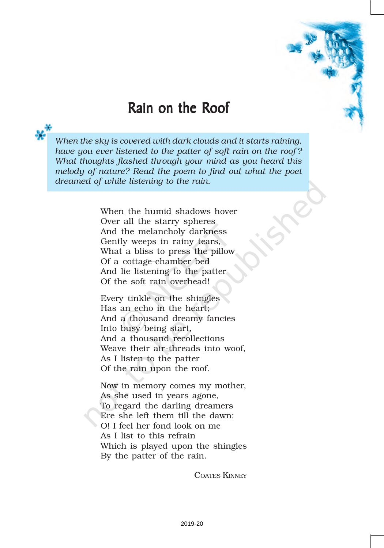

## Rain on the Roof

*When the sky is covered with dark clouds and it starts raining, have you ever listened to the patter of soft rain on the roof ? What thoughts flashed through your mind as you heard this melody of nature? Read the poem to find out what the poet dreamed of while listening to the rain.*

> When the humid shadows hover Over all the starry spheres And the melancholy darkness Gently weeps in rainy tears, What a bliss to press the pillow Of a cottage-chamber bed And lie listening to the patter Of the soft rain overhead!

Every tinkle on the shingles Has an echo in the heart; And a thousand dreamy fancies Into busy being start, And a thousand recollections Weave their air-threads into woof, As I listen to the patter Of the rain upon the roof.

Now in memory comes my mother, As she used in years agone, To regard the darling dreamers Ere she left them till the dawn: O! I feel her fond look on me As I list to this refrain Which is played upon the shingles By the patter of the rain.

COATES KINNEY